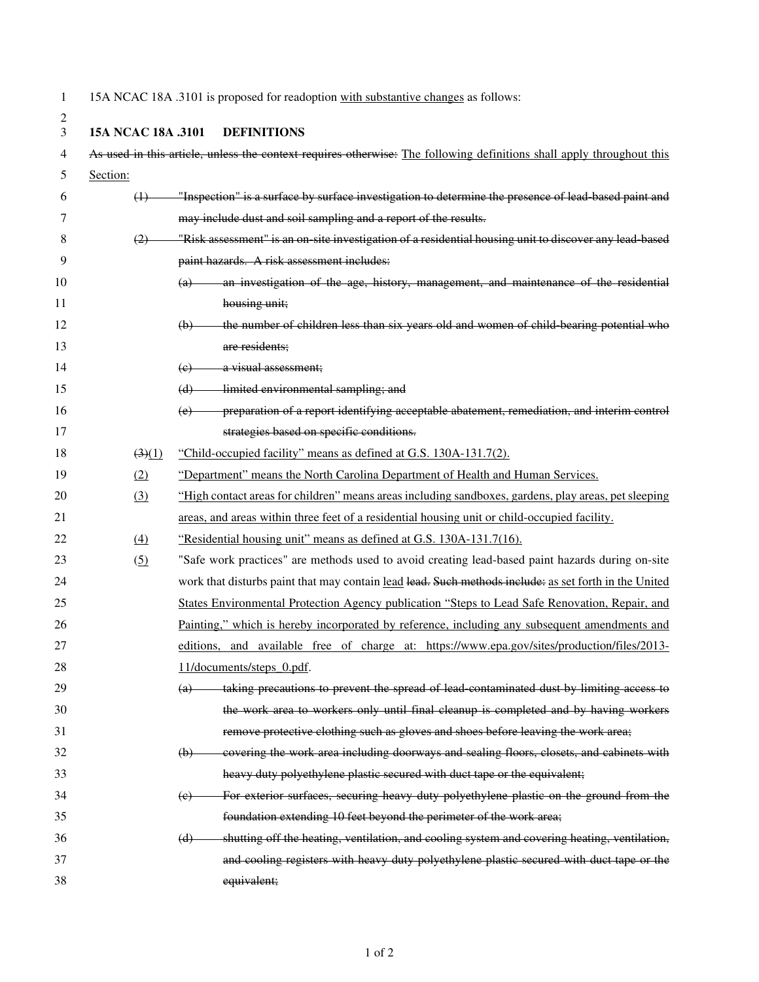1 15A NCAC 18A .3101 is proposed for readoption with substantive changes as follows:

| ۰           |  |
|-------------|--|
| I<br>I<br>I |  |
|             |  |
|             |  |

## 3 **15A NCAC 18A .3101 DEFINITIONS**

| 4  |                  | As used in this article, unless the context requires otherwise: The following definitions shall apply throughout this |
|----|------------------|-----------------------------------------------------------------------------------------------------------------------|
| 5  | Section:         |                                                                                                                       |
| 6  | $\left(4\right)$ | "Inspection" is a surface by surface investigation to determine the presence of lead based paint and                  |
| 7  |                  | may include dust and soil sampling and a report of the results.                                                       |
| 8  | (2)              | "Risk assessment" is an on-site investigation of a residential housing unit to discover any lead-based                |
| 9  |                  | paint hazards. A risk assessment includes:                                                                            |
| 10 |                  | (a) an investigation of the age, history, management, and maintenance of the residential                              |
| 11 |                  | housing unit;                                                                                                         |
| 12 |                  | the number of children less than six years old and women of child-bearing potential who<br>(b)                        |
| 13 |                  | are residents;                                                                                                        |
| 14 |                  | a visual assessment;<br>(e)                                                                                           |
| 15 |                  | limited environmental sampling; and<br>(d)                                                                            |
| 16 |                  | preparation of a report identifying acceptable abatement, remediation, and interim control<br>(e)                     |
| 17 |                  | strategies based on specific conditions.                                                                              |
| 18 | (3)(1)           | "Child-occupied facility" means as defined at G.S. 130A-131.7(2).                                                     |
| 19 | (2)              | "Department" means the North Carolina Department of Health and Human Services.                                        |
| 20 | (3)              | "High contact areas for children" means areas including sandboxes, gardens, play areas, pet sleeping                  |
| 21 |                  | areas, and areas within three feet of a residential housing unit or child-occupied facility.                          |
| 22 | $\left(4\right)$ | "Residential housing unit" means as defined at G.S. 130A-131.7(16).                                                   |
| 23 | (5)              | "Safe work practices" are methods used to avoid creating lead-based paint hazards during on-site                      |
| 24 |                  | work that disturbs paint that may contain lead lead. Such methods include: as set forth in the United                 |
| 25 |                  | States Environmental Protection Agency publication "Steps to Lead Safe Renovation, Repair, and                        |
| 26 |                  | Painting," which is hereby incorporated by reference, including any subsequent amendments and                         |
| 27 |                  | editions, and available free of charge at: https://www.epa.gov/sites/production/files/2013-                           |
| 28 |                  | 11/documents/steps 0.pdf.                                                                                             |
| 29 |                  | (a) taking precautions to prevent the spread of lead contaminated dust by limiting access to                          |
| 30 |                  | the work area to workers only until final cleanup is completed and by having workers                                  |
| 31 |                  | remove protective clothing such as gloves and shoes before leaving the work area;                                     |
| 32 |                  | covering the work area including doorways and sealing floors, closets, and cabinets with<br>$\Theta$                  |
| 33 |                  | heavy duty polyethylene plastic secured with duct tape or the equivalent;                                             |
| 34 |                  | For exterior surfaces, securing heavy duty polyethylene plastic on the ground from the<br>(e)                         |
| 35 |                  | foundation extending 10 feet beyond the perimeter of the work area;                                                   |
| 36 |                  | shutting off the heating, ventilation, and cooling system and covering heating, ventilation,<br>(d)                   |
| 37 |                  | and cooling registers with heavy duty polyethylene plastic secured with duct tape or the                              |
| 38 |                  | equivalent;                                                                                                           |
|    |                  |                                                                                                                       |